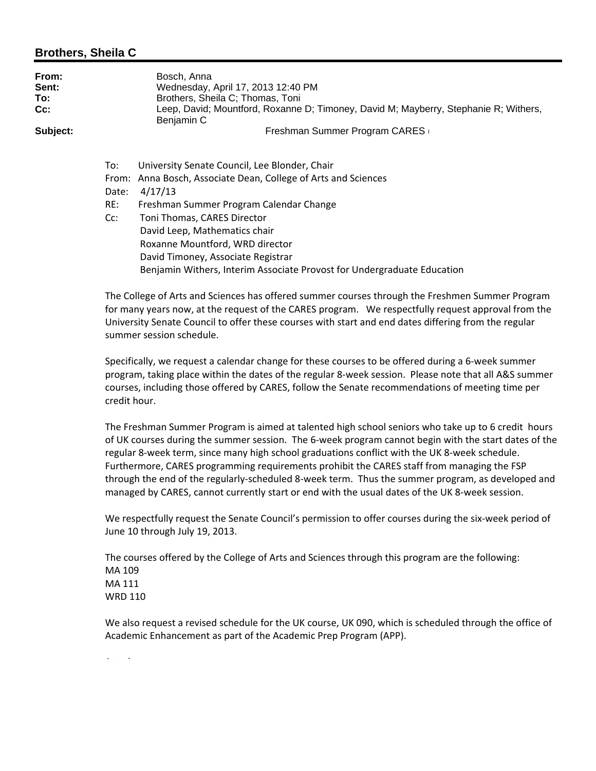#### **Brothers, Sheila C**

| From:<br>Sent:<br>To:<br>Cc: |       | Bosch, Anna<br>Wednesday, April 17, 2013 12:40 PM<br>Brothers, Sheila C; Thomas, Toni<br>Leep, David; Mountford, Roxanne D; Timoney, David M; Mayberry, Stephanie R; Withers,<br>Benjamin C |  |  |
|------------------------------|-------|---------------------------------------------------------------------------------------------------------------------------------------------------------------------------------------------|--|--|
| Subject:                     |       | Freshman Summer Program CARES                                                                                                                                                               |  |  |
|                              | To:   | University Senate Council, Lee Blonder, Chair                                                                                                                                               |  |  |
|                              |       | From: Anna Bosch, Associate Dean, College of Arts and Sciences                                                                                                                              |  |  |
|                              | Date: | 4/17/13                                                                                                                                                                                     |  |  |
|                              | RE:   | Freshman Summer Program Calendar Change                                                                                                                                                     |  |  |

Cc: Toni Thomas, CARES Director David Leep, Mathematics chair Roxanne Mountford, WRD director David Timoney, Associate Registrar Benjamin Withers, Interim Associate Provost for Undergraduate Education

The College of Arts and Sciences has offered summer courses through the Freshmen Summer Program for many years now, at the request of the CARES program. We respectfully request approval from the University Senate Council to offer these courses with start and end dates differing from the regular summer session schedule.

Specifically, we request a calendar change for these courses to be offered during a 6‐week summer program, taking place within the dates of the regular 8‐week session. Please note that all A&S summer courses, including those offered by CARES, follow the Senate recommendations of meeting time per credit hour.

The Freshman Summer Program is aimed at talented high school seniors who take up to 6 credit hours of UK courses during the summer session. The 6‐week program cannot begin with the start dates of the regular 8‐week term, since many high school graduations conflict with the UK 8‐week schedule. Furthermore, CARES programming requirements prohibit the CARES staff from managing the FSP through the end of the regularly‐scheduled 8‐week term. Thus the summer program, as developed and managed by CARES, cannot currently start or end with the usual dates of the UK 8‐week session.

We respectfully request the Senate Council's permission to offer courses during the six-week period of June 10 through July 19, 2013.

The courses offered by the College of Arts and Sciences through this program are the following: MA 109 MA 111 WRD 110

We also request a revised schedule for the UK course, UK 090, which is scheduled through the office of Academic Enhancement as part of the Academic Prep Program (APP).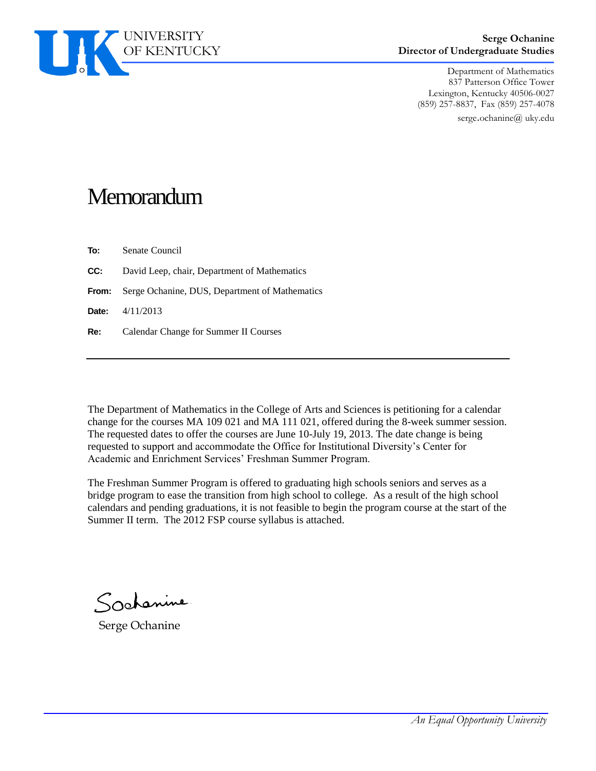

#### **Serge Ochanine Director of Undergraduate Studies**

Department of Mathematics 837 Patterson Office Tower Lexington, Kentucky 40506-0027 (859) 257-8837, Fax (859) 257-4078 serge.ochanine@ uky.edu

## **Memorandum**

**To:** Senate Council

- **CC:** David Leep, chair, Department of Mathematics
- **From:** Serge Ochanine, DUS, Department of Mathematics

**Date:** 4/11/2013

**Re:** Calendar Change for Summer II Courses

The Department of Mathematics in the College of Arts and Sciences is petitioning for a calendar change for the courses MA 109 021 and MA 111 021, offered during the 8-week summer session. The requested dates to offer the courses are June 10-July 19, 2013. The date change is being requested to support and accommodate the Office for Institutional Diversity's Center for Academic and Enrichment Services' Freshman Summer Program.

The Freshman Summer Program is offered to graduating high schools seniors and serves as a bridge program to ease the transition from high school to college. As a result of the high school calendars and pending graduations, it is not feasible to begin the program course at the start of the Summer II term. The 2012 FSP course syllabus is attached.

Sochanine

Serge Ochanine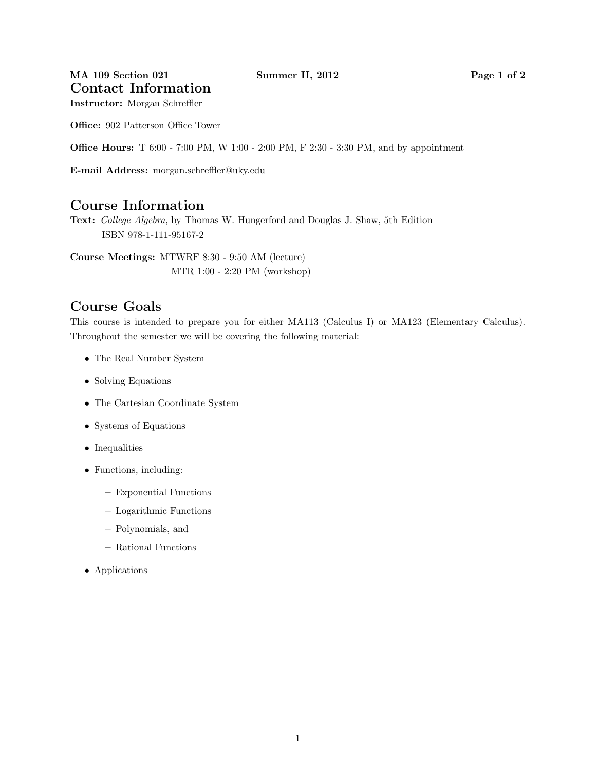#### MA 109 Section 021 Summer II, 2012 Page 1 of 2

### Contact Information

Instructor: Morgan Schreffler

Office: 902 Patterson Office Tower

**Office Hours:** T 6:00 - 7:00 PM, W 1:00 - 2:00 PM, F 2:30 - 3:30 PM, and by appointment

E-mail Address: morgan.schreffler@uky.edu

### Course Information

Text: College Algebra, by Thomas W. Hungerford and Douglas J. Shaw, 5th Edition ISBN 978-1-111-95167-2

Course Meetings: MTWRF 8:30 - 9:50 AM (lecture) MTR 1:00 - 2:20 PM (workshop)

### Course Goals

This course is intended to prepare you for either MA113 (Calculus I) or MA123 (Elementary Calculus). Throughout the semester we will be covering the following material:

- The Real Number System
- Solving Equations
- The Cartesian Coordinate System
- Systems of Equations
- Inequalities
- Functions, including:
	- Exponential Functions
	- Logarithmic Functions
	- Polynomials, and
	- Rational Functions
- Applications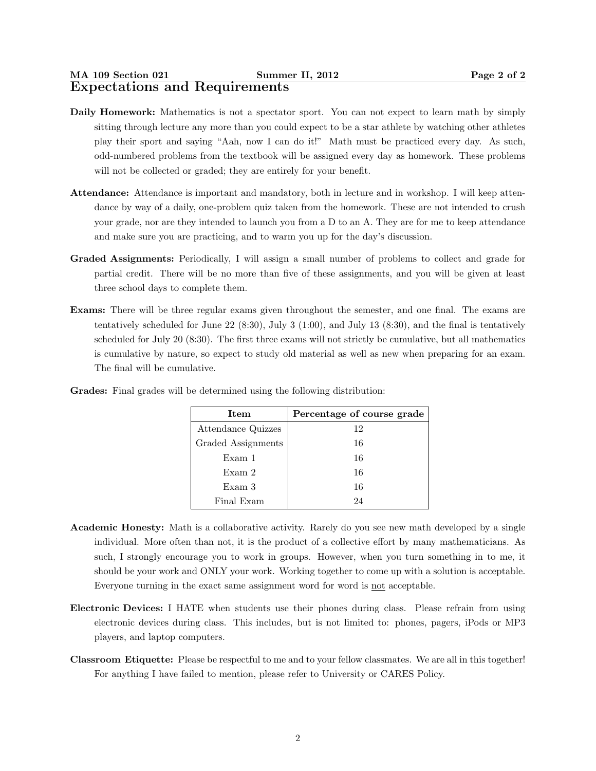- Daily Homework: Mathematics is not a spectator sport. You can not expect to learn math by simply sitting through lecture any more than you could expect to be a star athlete by watching other athletes play their sport and saying "Aah, now I can do it!" Math must be practiced every day. As such, odd-numbered problems from the textbook will be assigned every day as homework. These problems will not be collected or graded; they are entirely for your benefit.
- Attendance: Attendance is important and mandatory, both in lecture and in workshop. I will keep attendance by way of a daily, one-problem quiz taken from the homework. These are not intended to crush your grade, nor are they intended to launch you from a D to an A. They are for me to keep attendance and make sure you are practicing, and to warm you up for the day's discussion.
- Graded Assignments: Periodically, I will assign a small number of problems to collect and grade for partial credit. There will be no more than five of these assignments, and you will be given at least three school days to complete them.
- Exams: There will be three regular exams given throughout the semester, and one final. The exams are tentatively scheduled for June 22 (8:30), July 3 (1:00), and July 13 (8:30), and the final is tentatively scheduled for July 20 (8:30). The first three exams will not strictly be cumulative, but all mathematics is cumulative by nature, so expect to study old material as well as new when preparing for an exam. The final will be cumulative.

| Item               | Percentage of course grade |
|--------------------|----------------------------|
| Attendance Quizzes | 12                         |
| Graded Assignments | 16                         |
| Exam 1             | 16                         |
| Exam 2             | 16                         |
| Exam 3             | 16                         |
| Final Exam         | 94                         |

Grades: Final grades will be determined using the following distribution:

- Academic Honesty: Math is a collaborative activity. Rarely do you see new math developed by a single individual. More often than not, it is the product of a collective effort by many mathematicians. As such, I strongly encourage you to work in groups. However, when you turn something in to me, it should be your work and ONLY your work. Working together to come up with a solution is acceptable. Everyone turning in the exact same assignment word for word is not acceptable.
- Electronic Devices: I HATE when students use their phones during class. Please refrain from using electronic devices during class. This includes, but is not limited to: phones, pagers, iPods or MP3 players, and laptop computers.
- Classroom Etiquette: Please be respectful to me and to your fellow classmates. We are all in this together! For anything I have failed to mention, please refer to University or CARES Policy.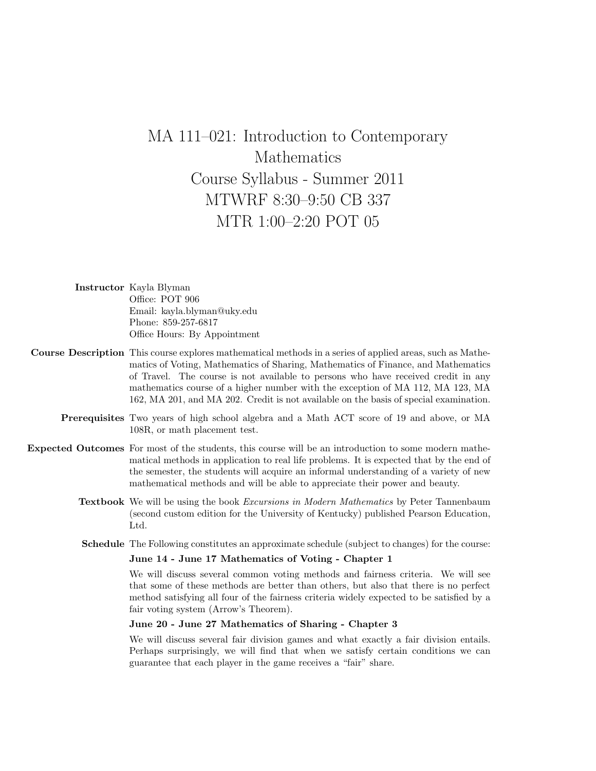## MA 111–021: Introduction to Contemporary Mathematics Course Syllabus - Summer 2011 MTWRF 8:30–9:50 CB 337 MTR 1:00–2:20 POT 05

| <b>Instructor</b> Kayla Blyman |
|--------------------------------|
| Office: POT 906                |
| Email: kayla.blyman@uky.edu    |
| Phone: 859-257-6817            |
| Office Hours: By Appointment   |

- Course Description This course explores mathematical methods in a series of applied areas, such as Mathematics of Voting, Mathematics of Sharing, Mathematics of Finance, and Mathematics of Travel. The course is not available to persons who have received credit in any mathematics course of a higher number with the exception of MA 112, MA 123, MA 162, MA 201, and MA 202. Credit is not available on the basis of special examination.
	- Prerequisites Two years of high school algebra and a Math ACT score of 19 and above, or MA 108R, or math placement test.
- Expected Outcomes For most of the students, this course will be an introduction to some modern mathematical methods in application to real life problems. It is expected that by the end of the semester, the students will acquire an informal understanding of a variety of new mathematical methods and will be able to appreciate their power and beauty.
	- Textbook We will be using the book Excursions in Modern Mathematics by Peter Tannenbaum (second custom edition for the University of Kentucky) published Pearson Education, Ltd.
	- Schedule The Following constitutes an approximate schedule (subject to changes) for the course:

#### June 14 - June 17 Mathematics of Voting - Chapter 1

We will discuss several common voting methods and fairness criteria. We will see that some of these methods are better than others, but also that there is no perfect method satisfying all four of the fairness criteria widely expected to be satisfied by a fair voting system (Arrow's Theorem).

#### June 20 - June 27 Mathematics of Sharing - Chapter 3

We will discuss several fair division games and what exactly a fair division entails. Perhaps surprisingly, we will find that when we satisfy certain conditions we can guarantee that each player in the game receives a "fair" share.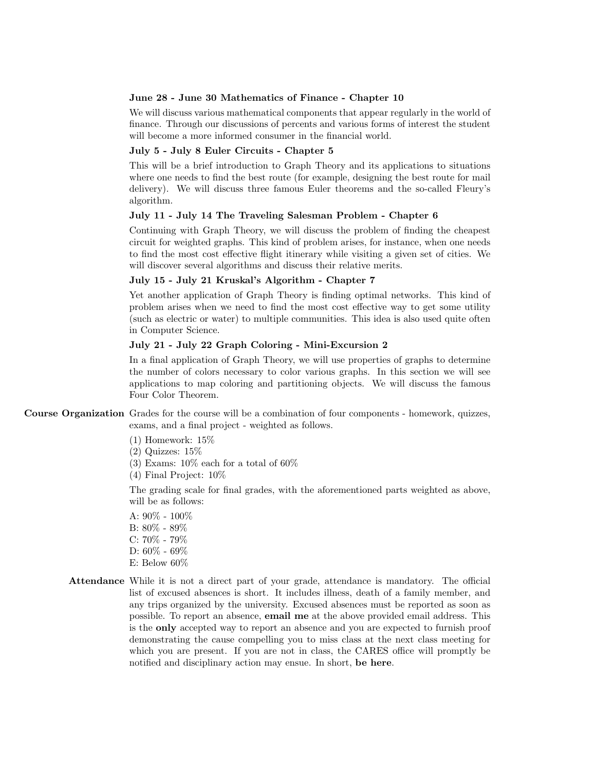#### June 28 - June 30 Mathematics of Finance - Chapter 10

We will discuss various mathematical components that appear regularly in the world of finance. Through our discussions of percents and various forms of interest the student will become a more informed consumer in the financial world.

#### July 5 - July 8 Euler Circuits - Chapter 5

This will be a brief introduction to Graph Theory and its applications to situations where one needs to find the best route (for example, designing the best route for mail delivery). We will discuss three famous Euler theorems and the so-called Fleury's algorithm.

#### July 11 - July 14 The Traveling Salesman Problem - Chapter 6

Continuing with Graph Theory, we will discuss the problem of finding the cheapest circuit for weighted graphs. This kind of problem arises, for instance, when one needs to find the most cost effective flight itinerary while visiting a given set of cities. We will discover several algorithms and discuss their relative merits.

#### July 15 - July 21 Kruskal's Algorithm - Chapter 7

Yet another application of Graph Theory is finding optimal networks. This kind of problem arises when we need to find the most cost effective way to get some utility (such as electric or water) to multiple communities. This idea is also used quite often in Computer Science.

#### July 21 - July 22 Graph Coloring - Mini-Excursion 2

In a final application of Graph Theory, we will use properties of graphs to determine the number of colors necessary to color various graphs. In this section we will see applications to map coloring and partitioning objects. We will discuss the famous Four Color Theorem.

Course Organization Grades for the course will be a combination of four components - homework, quizzes, exams, and a final project - weighted as follows.

(1) Homework: 15%

 $(2)$  Quizzes:  $15\%$ 

(3) Exams:  $10\%$  each for a total of  $60\%$ 

(4) Final Project: 10%

The grading scale for final grades, with the aforementioned parts weighted as above, will be as follows:

- A: 90% 100% B: 80% - 89% C: 70% - 79% D: 60% - 69% E: Below 60%
- Attendance While it is not a direct part of your grade, attendance is mandatory. The official list of excused absences is short. It includes illness, death of a family member, and any trips organized by the university. Excused absences must be reported as soon as possible. To report an absence, email me at the above provided email address. This is the only accepted way to report an absence and you are expected to furnish proof demonstrating the cause compelling you to miss class at the next class meeting for which you are present. If you are not in class, the CARES office will promptly be notified and disciplinary action may ensue. In short, be here.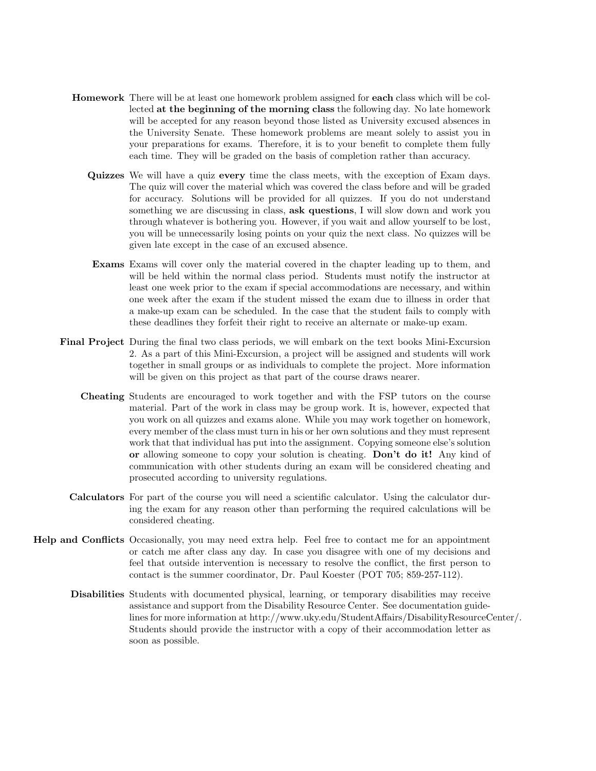- Homework There will be at least one homework problem assigned for each class which will be collected at the beginning of the morning class the following day. No late homework will be accepted for any reason beyond those listed as University excused absences in the University Senate. These homework problems are meant solely to assist you in your preparations for exams. Therefore, it is to your benefit to complete them fully each time. They will be graded on the basis of completion rather than accuracy.
	- Quizzes We will have a quiz every time the class meets, with the exception of Exam days. The quiz will cover the material which was covered the class before and will be graded for accuracy. Solutions will be provided for all quizzes. If you do not understand something we are discussing in class, ask questions, I will slow down and work you through whatever is bothering you. However, if you wait and allow yourself to be lost, you will be unnecessarily losing points on your quiz the next class. No quizzes will be given late except in the case of an excused absence.
	- Exams Exams will cover only the material covered in the chapter leading up to them, and will be held within the normal class period. Students must notify the instructor at least one week prior to the exam if special accommodations are necessary, and within one week after the exam if the student missed the exam due to illness in order that a make-up exam can be scheduled. In the case that the student fails to comply with these deadlines they forfeit their right to receive an alternate or make-up exam.
- Final Project During the final two class periods, we will embark on the text books Mini-Excursion 2. As a part of this Mini-Excursion, a project will be assigned and students will work together in small groups or as individuals to complete the project. More information will be given on this project as that part of the course draws nearer.
	- Cheating Students are encouraged to work together and with the FSP tutors on the course material. Part of the work in class may be group work. It is, however, expected that you work on all quizzes and exams alone. While you may work together on homework, every member of the class must turn in his or her own solutions and they must represent work that that individual has put into the assignment. Copying someone else's solution or allowing someone to copy your solution is cheating. Don't do it! Any kind of communication with other students during an exam will be considered cheating and prosecuted according to university regulations.
	- Calculators For part of the course you will need a scientific calculator. Using the calculator during the exam for any reason other than performing the required calculations will be considered cheating.
- Help and Conflicts Occasionally, you may need extra help. Feel free to contact me for an appointment or catch me after class any day. In case you disagree with one of my decisions and feel that outside intervention is necessary to resolve the conflict, the first person to contact is the summer coordinator, Dr. Paul Koester (POT 705; 859-257-112).
	- Disabilities Students with documented physical, learning, or temporary disabilities may receive assistance and support from the Disability Resource Center. See documentation guidelines for more information at http://www.uky.edu/StudentAffairs/DisabilityResourceCenter/. Students should provide the instructor with a copy of their accommodation letter as soon as possible.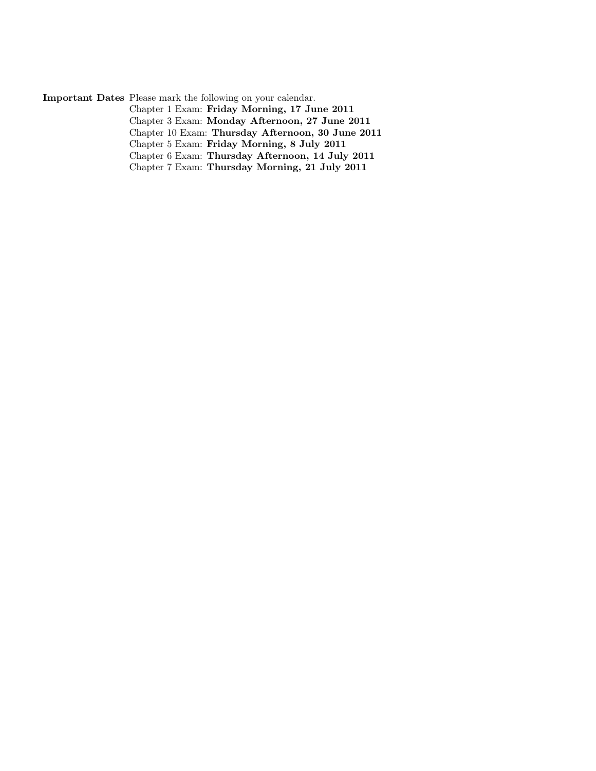Important Dates Please mark the following on your calendar. Chapter 1 Exam: Friday Morning, 17 June 2011 Chapter 3 Exam: Monday Afternoon, 27 June 2011 Chapter 10 Exam: Thursday Afternoon, 30 June 2011 Chapter 5 Exam: Friday Morning, 8 July 2011 Chapter 6 Exam: Thursday Afternoon, 14 July 2011 Chapter 7 Exam: Thursday Morning, 21 July 2011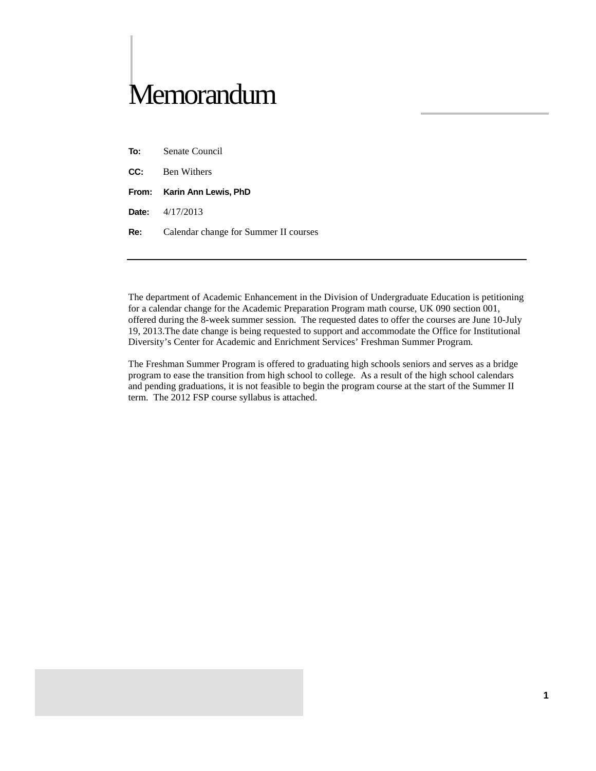# **Memorandum**

- **To:** Senate Council
- **CC:** Ben Withers
- **From: Karin Ann Lewis, PhD**
- **Date:** 4/17/2013
- **Re:** Calendar change for Summer II courses

The department of Academic Enhancement in the Division of Undergraduate Education is petitioning for a calendar change for the Academic Preparation Program math course, UK 090 section 001, offered during the 8-week summer session. The requested dates to offer the courses are June 10-July 19, 2013.The date change is being requested to support and accommodate the Office for Institutional Diversity's Center for Academic and Enrichment Services' Freshman Summer Program.

The Freshman Summer Program is offered to graduating high schools seniors and serves as a bridge program to ease the transition from high school to college. As a result of the high school calendars and pending graduations, it is not feasible to begin the program course at the start of the Summer II term. The 2012 FSP course syllabus is attached.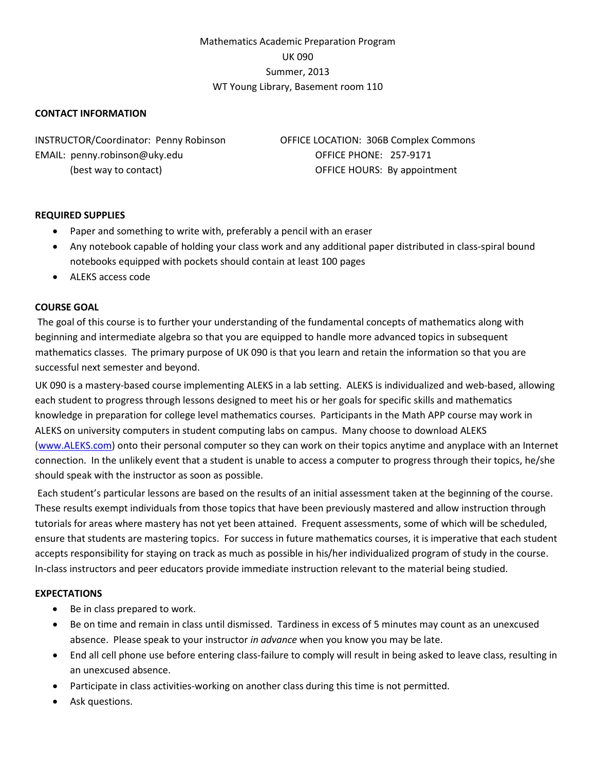#### Mathematics Academic Preparation Program UK 090 Summer, 2013 WT Young Library, Basement room 110

#### **CONTACT INFORMATION**

INSTRUCTOR/Coordinator: Penny Robinson OFFICE LOCATION: 306B Complex Commons EMAIL: penny.robinson@uky.edu QUE CONFICE PHONE: 257-9171

(best way to contact) OFFICE HOURS: By appointment

#### **REQUIRED SUPPLIES**

- Paper and something to write with, preferably a pencil with an eraser
- Any notebook capable of holding your class work and any additional paper distributed in class-spiral bound notebooks equipped with pockets should contain at least 100 pages
- ALEKS access code

#### **COURSE GOAL**

The goal of this course is to further your understanding of the fundamental concepts of mathematics along with beginning and intermediate algebra so that you are equipped to handle more advanced topics in subsequent mathematics classes. The primary purpose of UK 090 is that you learn and retain the information so that you are successful next semester and beyond.

UK 090 is a mastery-based course implementing ALEKS in a lab setting. ALEKS is individualized and web-based, allowing each student to progress through lessons designed to meet his or her goals for specific skills and mathematics knowledge in preparation for college level mathematics courses. Participants in the Math APP course may work in ALEKS on university computers in student computing labs on campus. Many choose to download ALEKS [\(www.ALEKS.com\)](http://www.aleks.com/) onto their personal computer so they can work on their topics anytime and anyplace with an Internet connection. In the unlikely event that a student is unable to access a computer to progress through their topics, he/she should speak with the instructor as soon as possible.

Each student's particular lessons are based on the results of an initial assessment taken at the beginning of the course. These results exempt individuals from those topics that have been previously mastered and allow instruction through tutorials for areas where mastery has not yet been attained. Frequent assessments, some of which will be scheduled, ensure that students are mastering topics. For success in future mathematics courses, it is imperative that each student accepts responsibility for staying on track as much as possible in his/her individualized program of study in the course. In-class instructors and peer educators provide immediate instruction relevant to the material being studied.

#### **EXPECTATIONS**

- Be in class prepared to work.
- Be on time and remain in class until dismissed. Tardiness in excess of 5 minutes may count as an unexcused absence. Please speak to your instructor *in advance* when you know you may be late.
- End all cell phone use before entering class-failure to comply will result in being asked to leave class, resulting in an unexcused absence.
- Participate in class activities-working on another class during this time is not permitted.
- Ask questions.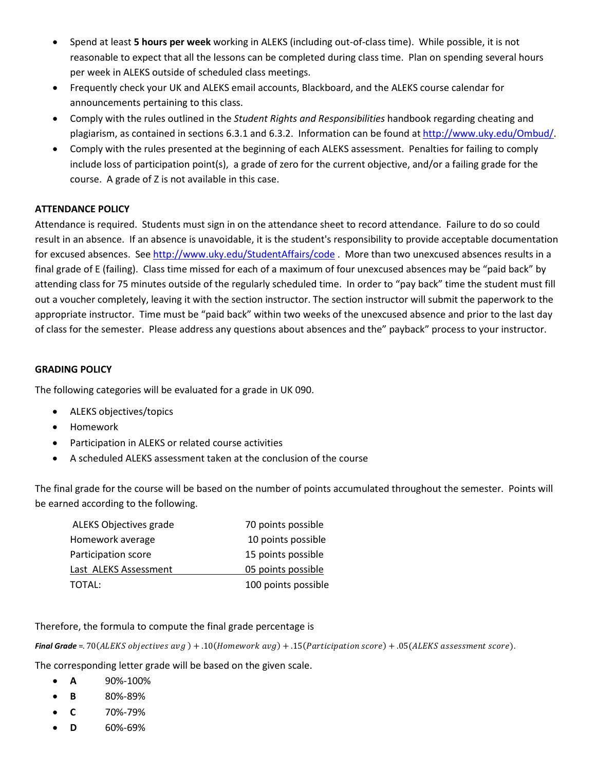- Spend at least **5 hours per week** working in ALEKS (including out-of-class time). While possible, it is not reasonable to expect that all the lessons can be completed during class time. Plan on spending several hours per week in ALEKS outside of scheduled class meetings.
- Frequently check your UK and ALEKS email accounts, Blackboard, and the ALEKS course calendar for announcements pertaining to this class.
- Comply with the rules outlined in the *Student Rights and Responsibilities* handbook regarding cheating and plagiarism, as contained in sections 6.3.1 and 6.3.2. Information can be found a[t http://www.uky.edu/Ombud/.](http://www.uky.edu/Ombud/)
- Comply with the rules presented at the beginning of each ALEKS assessment. Penalties for failing to comply include loss of participation point(s), a grade of zero for the current objective, and/or a failing grade for the course. A grade of Z is not available in this case.

#### **ATTENDANCE POLICY**

Attendance is required. Students must sign in on the attendance sheet to record attendance. Failure to do so could result in an absence. If an absence is unavoidable, it is the student's responsibility to provide acceptable documentation for excused absences. See<http://www.uky.edu/StudentAffairs/code> . More than two unexcused absences results in a final grade of E (failing). Class time missed for each of a maximum of four unexcused absences may be "paid back" by attending class for 75 minutes outside of the regularly scheduled time. In order to "pay back" time the student must fill out a voucher completely, leaving it with the section instructor. The section instructor will submit the paperwork to the appropriate instructor. Time must be "paid back" within two weeks of the unexcused absence and prior to the last day of class for the semester. Please address any questions about absences and the" payback" process to your instructor.

#### **GRADING POLICY**

The following categories will be evaluated for a grade in UK 090.

- ALEKS objectives/topics
- Homework
- Participation in ALEKS or related course activities
- A scheduled ALEKS assessment taken at the conclusion of the course

The final grade for the course will be based on the number of points accumulated throughout the semester. Points will be earned according to the following.

| ALEKS Objectives grade | 70 points possible  |
|------------------------|---------------------|
| Homework average       | 10 points possible  |
| Participation score    | 15 points possible  |
| Last ALEKS Assessment  | 05 points possible  |
| TOTAL:                 | 100 points possible |

#### Therefore, the formula to compute the final grade percentage is

**Final Grade** =. 70(ALEKS objectives  $avg$ ) + .10(Homework  $avg$ ) + .15(Participation score) + .05(ALEKS assessment score).

The corresponding letter grade will be based on the given scale.

- **A** 90%-100%
- **B** 80%-89%
- **C** 70%-79%
- **D** 60%-69%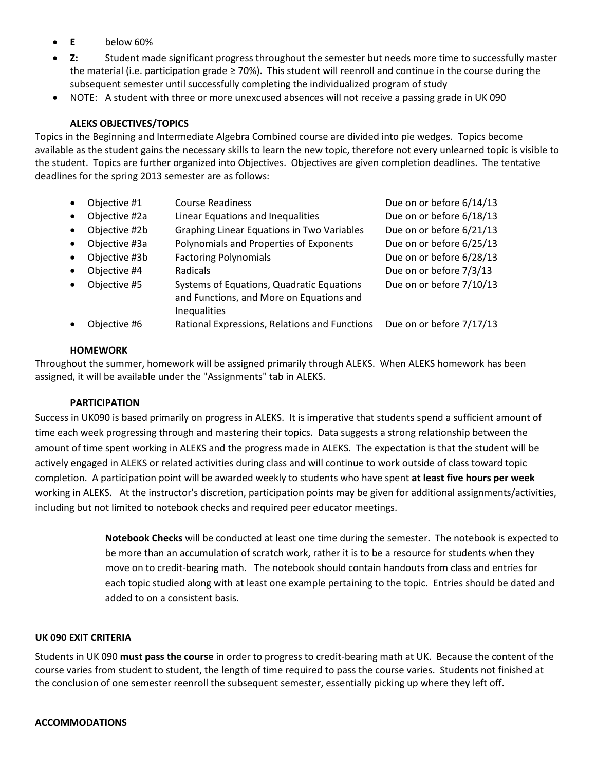- **E** below 60%
- **Z:** Student made significant progress throughout the semester but needs more time to successfully master the material (i.e. participation grade ≥ 70%). This student will reenroll and continue in the course during the subsequent semester until successfully completing the individualized program of study
- NOTE: A student with three or more unexcused absences will not receive a passing grade in UK 090

#### **ALEKS OBJECTIVES/TOPICS**

Topics in the Beginning and Intermediate Algebra Combined course are divided into pie wedges. Topics become available as the student gains the necessary skills to learn the new topic, therefore not every unlearned topic is visible to the student. Topics are further organized into Objectives. Objectives are given completion deadlines. The tentative deadlines for the spring 2013 semester are as follows:

| $\bullet$ | Objective #1  | <b>Course Readiness</b>                                                                               | Due on or before 6/14/13 |
|-----------|---------------|-------------------------------------------------------------------------------------------------------|--------------------------|
| $\bullet$ | Objective #2a | Linear Equations and Inequalities                                                                     | Due on or before 6/18/13 |
| $\bullet$ | Objective #2b | <b>Graphing Linear Equations in Two Variables</b>                                                     | Due on or before 6/21/13 |
| $\bullet$ | Objective #3a | Polynomials and Properties of Exponents                                                               | Due on or before 6/25/13 |
| $\bullet$ | Objective #3b | <b>Factoring Polynomials</b>                                                                          | Due on or before 6/28/13 |
| $\bullet$ | Objective #4  | <b>Radicals</b>                                                                                       | Due on or before 7/3/13  |
| $\bullet$ | Objective #5  | Systems of Equations, Quadratic Equations<br>and Functions, and More on Equations and<br>Inequalities | Due on or before 7/10/13 |
| $\bullet$ | Obiective #6  | Rational Expressions, Relations and Functions                                                         | Due on or before 7/17/13 |

#### **HOMEWORK**

Throughout the summer, homework will be assigned primarily through ALEKS. When ALEKS homework has been assigned, it will be available under the "Assignments" tab in ALEKS.

#### **PARTICIPATION**

Success in UK090 is based primarily on progress in ALEKS. It is imperative that students spend a sufficient amount of time each week progressing through and mastering their topics. Data suggests a strong relationship between the amount of time spent working in ALEKS and the progress made in ALEKS. The expectation is that the student will be actively engaged in ALEKS or related activities during class and will continue to work outside of class toward topic completion. A participation point will be awarded weekly to students who have spent **at least five hours per week** working in ALEKS. At the instructor's discretion, participation points may be given for additional assignments/activities, including but not limited to notebook checks and required peer educator meetings.

> **Notebook Checks** will be conducted at least one time during the semester. The notebook is expected to be more than an accumulation of scratch work, rather it is to be a resource for students when they move on to credit-bearing math. The notebook should contain handouts from class and entries for each topic studied along with at least one example pertaining to the topic. Entries should be dated and added to on a consistent basis.

#### **UK 090 EXIT CRITERIA**

Students in UK 090 **must pass the course** in order to progress to credit-bearing math at UK. Because the content of the course varies from student to student, the length of time required to pass the course varies. Students not finished at the conclusion of one semester reenroll the subsequent semester, essentially picking up where they left off.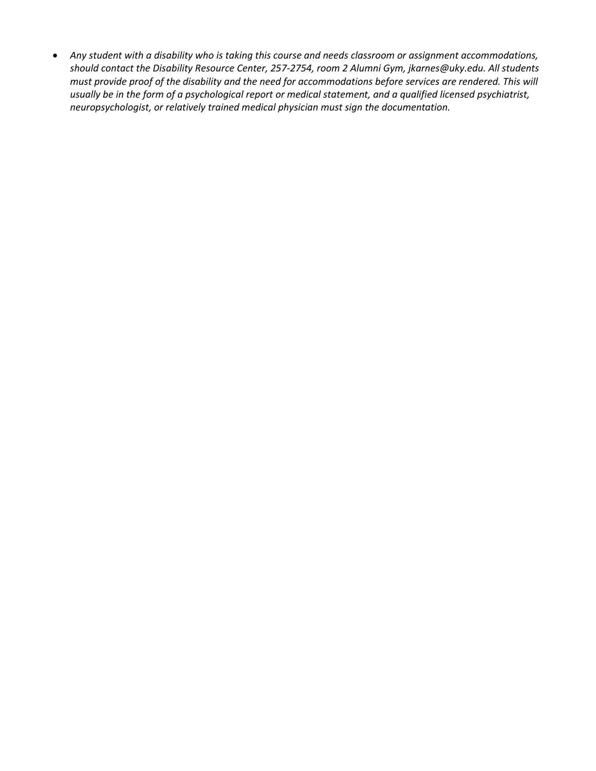• *Any student with a disability who is taking this course and needs classroom or assignment accommodations, should contact the Disability Resource Center, 257-2754, room 2 Alumni Gym, jkarnes@uky.edu. All students must provide proof of the disability and the need for accommodations before services are rendered. This will usually be in the form of a psychological report or medical statement, and a qualified licensed psychiatrist, neuropsychologist, or relatively trained medical physician must sign the documentation.*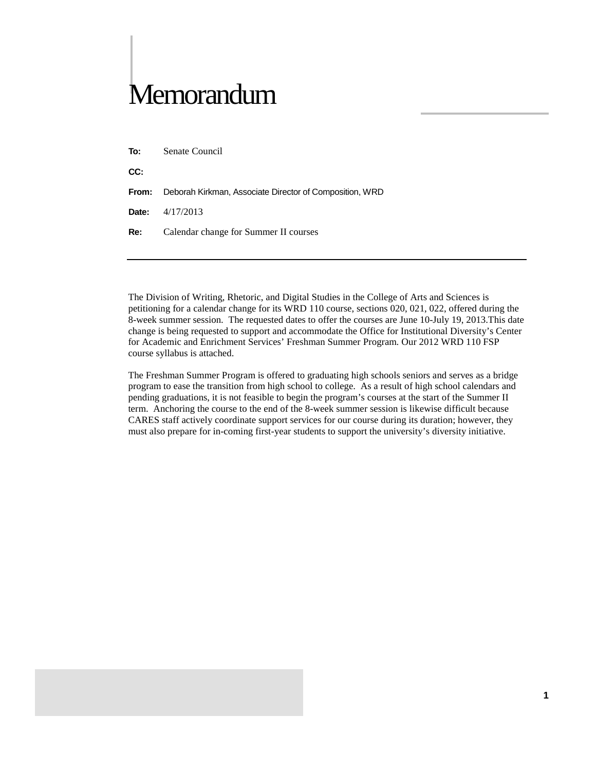# Memorandum

**CC:**

**From:** Deborah Kirkman, Associate Director of Composition, WRD

**Date:** 4/17/2013

**Re:** Calendar change for Summer II courses

The Division of Writing, Rhetoric, and Digital Studies in the College of Arts and Sciences is petitioning for a calendar change for its WRD 110 course, sections 020, 021, 022, offered during the 8-week summer session. The requested dates to offer the courses are June 10-July 19, 2013.This date change is being requested to support and accommodate the Office for Institutional Diversity's Center for Academic and Enrichment Services' Freshman Summer Program. Our 2012 WRD 110 FSP course syllabus is attached.

The Freshman Summer Program is offered to graduating high schools seniors and serves as a bridge program to ease the transition from high school to college. As a result of high school calendars and pending graduations, it is not feasible to begin the program's courses at the start of the Summer II term. Anchoring the course to the end of the 8-week summer session is likewise difficult because CARES staff actively coordinate support services for our course during its duration; however, they must also prepare for in-coming first-year students to support the university's diversity initiative.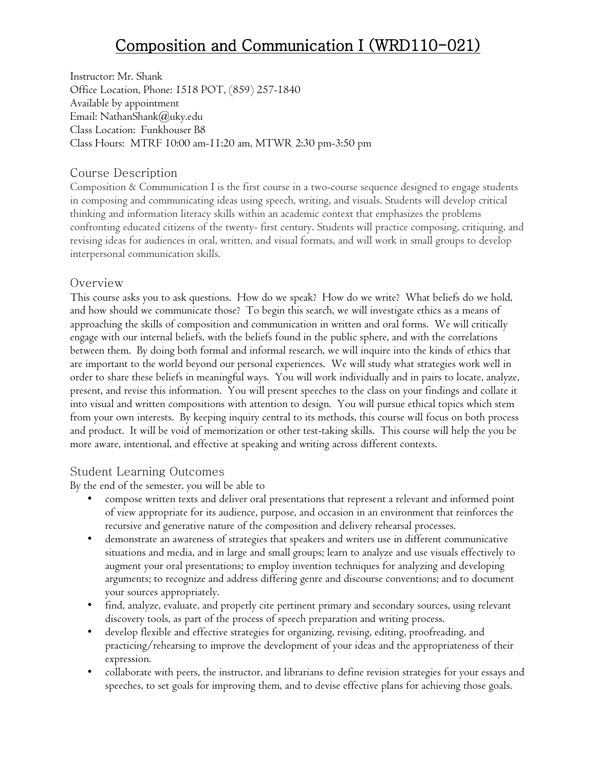Instructor: Mr. Shank Office Location, Phone: 1518 POT, (859) 257-1840 Available by appointment Email: NathanShank@uky.edu Class Location: Funkhouser B8 Class Hours: MTRF 10:00 am-11:20 am, MTWR 2:30 pm-3:50 pm

#### Course Description

Composition & Communication I is the first course in a two-course sequence designed to engage students in composing and communicating ideas using speech, writing, and visuals. Students will develop critical thinking and information literacy skills within an academic context that emphasizes the problems confronting educated citizens of the twenty- first century. Students will practice composing, critiquing, and revising ideas for audiences in oral, written, and visual formats, and will work in small groups to develop interpersonal communication skills.

#### Overview

This course asks you to ask questions. How do we speak? How do we write? What beliefs do we hold, and how should we communicate those? To begin this search, we will investigate ethics as a means of approaching the skills of composition and communication in written and oral forms. We will critically engage with our internal beliefs, with the beliefs found in the public sphere, and with the correlations between them. By doing both formal and informal research, we will inquire into the kinds of ethics that are important to the world beyond our personal experiences. We will study what strategies work well in order to share these beliefs in meaningful ways. You will work individually and in pairs to locate, analyze, present, and revise this information. You will present speeches to the class on your findings and collate it into visual and written compositions with attention to design. You will pursue ethical topics which stem from your own interests. By keeping inquiry central to its methods, this course will focus on both process and product. It will be void of memorization or other test-taking skills. This course will help the you be more aware, intentional, and effective at speaking and writing across different contexts.

#### Student Learning Outcomes

By the end of the semester, you will be able to

- compose written texts and deliver oral presentations that represent a relevant and informed point of view appropriate for its audience, purpose, and occasion in an environment that reinforces the recursive and generative nature of the composition and delivery rehearsal processes.
- demonstrate an awareness of strategies that speakers and writers use in different communicative situations and media, and in large and small groups; learn to analyze and use visuals effectively to augment your oral presentations; to employ invention techniques for analyzing and developing arguments; to recognize and address differing genre and discourse conventions; and to document your sources appropriately.
- find, analyze, evaluate, and properly cite pertinent primary and secondary sources, using relevant discovery tools, as part of the process of speech preparation and writing process.
- develop flexible and effective strategies for organizing, revising, editing, proofreading, and practicing/rehearsing to improve the development of your ideas and the appropriateness of their expression.
- collaborate with peers, the instructor, and librarians to define revision strategies for your essays and speeches, to set goals for improving them, and to devise effective plans for achieving those goals.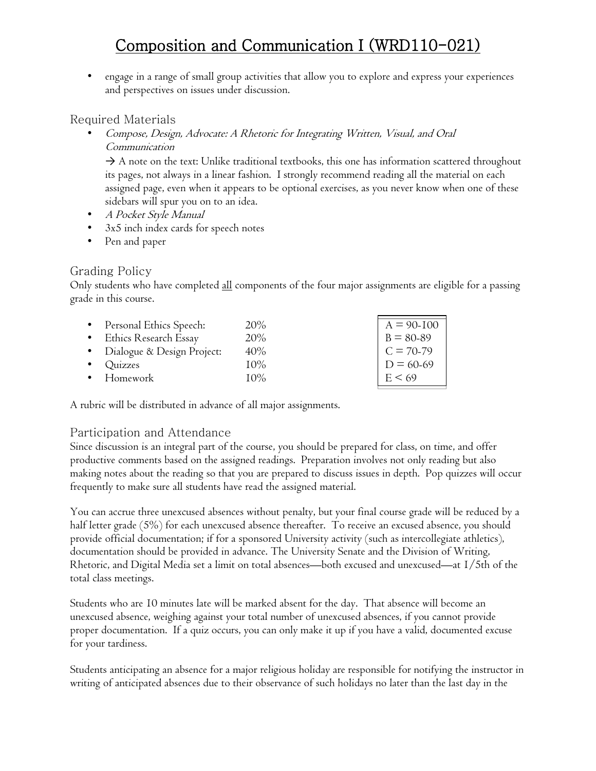• engage in a range of small group activities that allow you to explore and express your experiences and perspectives on issues under discussion.

### Required Materials

• Compose, Design, Advocate: A Rhetoric for Integrating Written, Visual, and Oral Communication

 $\rightarrow$  A note on the text: Unlike traditional textbooks, this one has information scattered throughout its pages, not always in a linear fashion. I strongly recommend reading all the material on each assigned page, even when it appears to be optional exercises, as you never know when one of these sidebars will spur you on to an idea.

- A Pocket Style Manual
- 3x5 inch index cards for speech notes
- Pen and paper

#### Grading Policy

Only students who have completed all components of the four major assignments are eligible for a passing grade in this course.

| • Personal Ethics Speech:    | $20\%$ | $A = 90-100$                        |
|------------------------------|--------|-------------------------------------|
| • Ethics Research Essay      | $20\%$ | $B = 80-89$ $C = 70-79$ $D = 60-69$ |
| • Dialogue & Design Project: | 40%    |                                     |
| $\bullet$ Quizzes            | $10\%$ |                                     |
| • Homework                   | $10\%$ | $E \le 69$                          |

A rubric will be distributed in advance of all major assignments.

#### Participation and Attendance

Since discussion is an integral part of the course, you should be prepared for class, on time, and offer productive comments based on the assigned readings. Preparation involves not only reading but also making notes about the reading so that you are prepared to discuss issues in depth. Pop quizzes will occur frequently to make sure all students have read the assigned material.

You can accrue three unexcused absences without penalty, but your final course grade will be reduced by a half letter grade (5%) for each unexcused absence thereafter. To receive an excused absence, you should provide official documentation; if for a sponsored University activity (such as intercollegiate athletics), documentation should be provided in advance. The University Senate and the Division of Writing, Rhetoric, and Digital Media set a limit on total absences—both excused and unexcused—at 1/5th of the total class meetings.

Students who are 10 minutes late will be marked absent for the day. That absence will become an unexcused absence, weighing against your total number of unexcused absences, if you cannot provide proper documentation. If a quiz occurs, you can only make it up if you have a valid, documented excuse for your tardiness.

Students anticipating an absence for a major religious holiday are responsible for notifying the instructor in writing of anticipated absences due to their observance of such holidays no later than the last day in the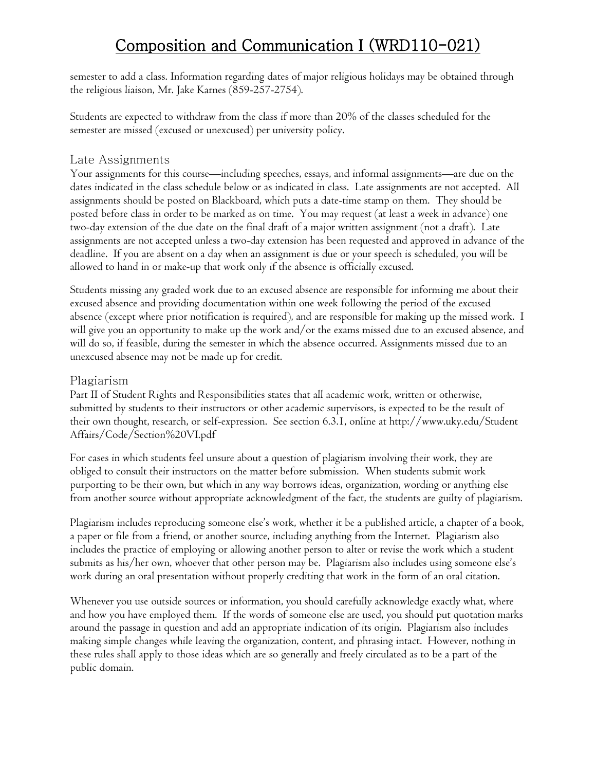semester to add a class. Information regarding dates of major religious holidays may be obtained through the religious liaison, Mr. Jake Karnes (859-257-2754).

Students are expected to withdraw from the class if more than 20% of the classes scheduled for the semester are missed (excused or unexcused) per university policy.

#### Late Assignments

Your assignments for this course—including speeches, essays, and informal assignments—are due on the dates indicated in the class schedule below or as indicated in class. Late assignments are not accepted. All assignments should be posted on Blackboard, which puts a date-time stamp on them. They should be posted before class in order to be marked as on time. You may request (at least a week in advance) one two-day extension of the due date on the final draft of a major written assignment (not a draft). Late assignments are not accepted unless a two-day extension has been requested and approved in advance of the deadline. If you are absent on a day when an assignment is due or your speech is scheduled, you will be allowed to hand in or make-up that work only if the absence is officially excused.

Students missing any graded work due to an excused absence are responsible for informing me about their excused absence and providing documentation within one week following the period of the excused absence (except where prior notification is required), and are responsible for making up the missed work. I will give you an opportunity to make up the work and/or the exams missed due to an excused absence, and will do so, if feasible, during the semester in which the absence occurred. Assignments missed due to an unexcused absence may not be made up for credit.

#### Plagiarism

Part II of Student Rights and Responsibilities states that all academic work, written or otherwise, submitted by students to their instructors or other academic supervisors, is expected to be the result of their own thought, research, or self-expression. See section 6.3.1, online at http://www.uky.edu/Student Affairs/Code/Section%20VI.pdf

For cases in which students feel unsure about a question of plagiarism involving their work, they are obliged to consult their instructors on the matter before submission. When students submit work purporting to be their own, but which in any way borrows ideas, organization, wording or anything else from another source without appropriate acknowledgment of the fact, the students are guilty of plagiarism.

Plagiarism includes reproducing someone else's work, whether it be a published article, a chapter of a book, a paper or file from a friend, or another source, including anything from the Internet. Plagiarism also includes the practice of employing or allowing another person to alter or revise the work which a student submits as his/her own, whoever that other person may be. Plagiarism also includes using someone else's work during an oral presentation without properly crediting that work in the form of an oral citation.

Whenever you use outside sources or information, you should carefully acknowledge exactly what, where and how you have employed them. If the words of someone else are used, you should put quotation marks around the passage in question and add an appropriate indication of its origin. Plagiarism also includes making simple changes while leaving the organization, content, and phrasing intact. However, nothing in these rules shall apply to those ideas which are so generally and freely circulated as to be a part of the public domain.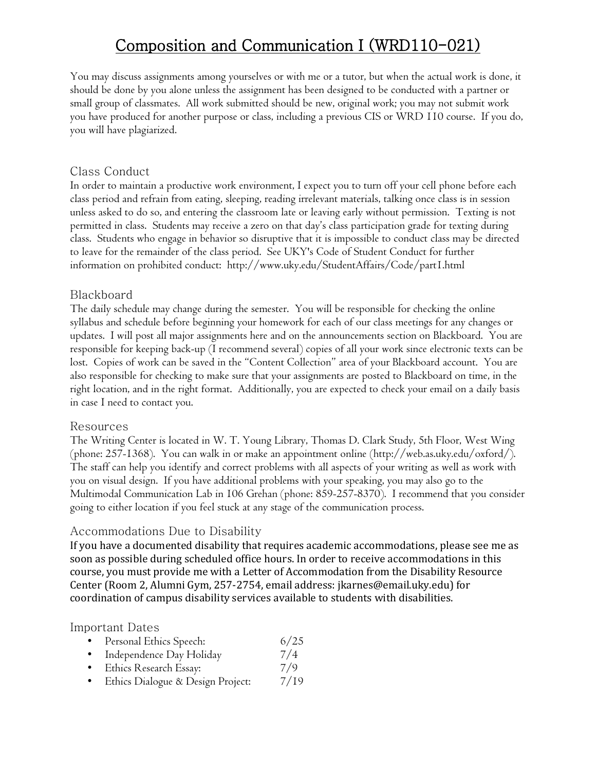You may discuss assignments among yourselves or with me or a tutor, but when the actual work is done, it should be done by you alone unless the assignment has been designed to be conducted with a partner or small group of classmates. All work submitted should be new, original work; you may not submit work you have produced for another purpose or class, including a previous CIS or WRD 110 course. If you do, you will have plagiarized.

#### Class Conduct

In order to maintain a productive work environment, I expect you to turn off your cell phone before each class period and refrain from eating, sleeping, reading irrelevant materials, talking once class is in session unless asked to do so, and entering the classroom late or leaving early without permission. Texting is not permitted in class. Students may receive a zero on that day's class participation grade for texting during class. Students who engage in behavior so disruptive that it is impossible to conduct class may be directed to leave for the remainder of the class period. See UKY's Code of Student Conduct for further information on prohibited conduct: http://www.uky.edu/StudentAffairs/Code/part1.html

#### Blackboard

The daily schedule may change during the semester. You will be responsible for checking the online syllabus and schedule before beginning your homework for each of our class meetings for any changes or updates. I will post all major assignments here and on the announcements section on Blackboard. You are responsible for keeping back-up (I recommend several) copies of all your work since electronic texts can be lost. Copies of work can be saved in the "Content Collection" area of your Blackboard account. You are also responsible for checking to make sure that your assignments are posted to Blackboard on time, in the right location, and in the right format. Additionally, you are expected to check your email on a daily basis in case I need to contact you.

#### Resources

The Writing Center is located in W. T. Young Library, Thomas D. Clark Study, 5th Floor, West Wing (phone: 257-1368). You can walk in or make an appointment online (http://web.as.uky.edu/oxford/). The staff can help you identify and correct problems with all aspects of your writing as well as work with you on visual design. If you have additional problems with your speaking, you may also go to the Multimodal Communication Lab in 106 Grehan (phone: 859-257-8370). I recommend that you consider going to either location if you feel stuck at any stage of the communication process.

#### Accommodations Due to Disability

If you have a documented disability that requires academic accommodations, please see me as soon as possible during scheduled office hours. In order to receive accommodations in this course, you must provide me with a Letter of Accommodation from the Disability Resource Center (Room 2, Alumni Gym, 257-2754, email address: jkarnes@email.uky.edu) for coordination of campus disability services available to students with disabilities.

#### Important Dates

|           | Personal Ethics Speech:           | 6/25 |
|-----------|-----------------------------------|------|
|           | Independence Day Holiday          | 7/4  |
|           | Ethics Research Essay:            | 7/9  |
| $\bullet$ | Ethics Dialogue & Design Project: | 7/19 |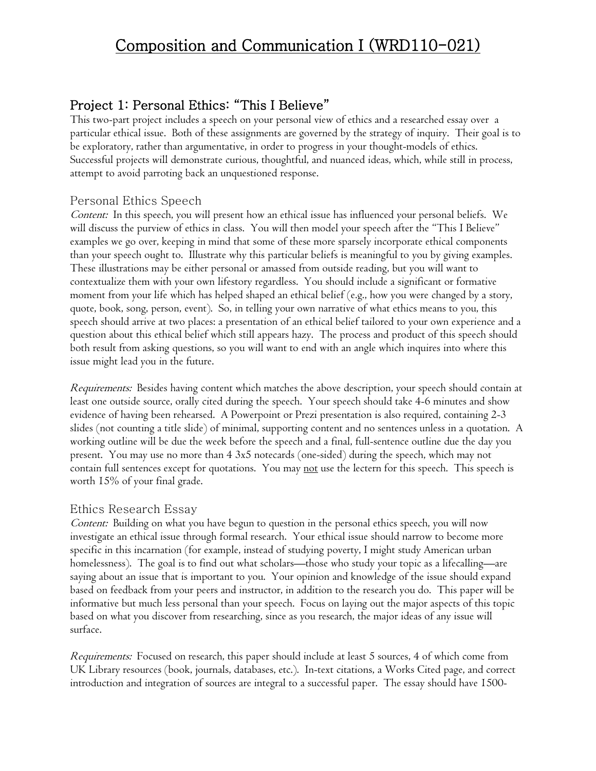### Project 1: Personal Ethics: "This I Believe"

This two-part project includes a speech on your personal view of ethics and a researched essay over a particular ethical issue. Both of these assignments are governed by the strategy of inquiry. Their goal is to be exploratory, rather than argumentative, in order to progress in your thought-models of ethics. Successful projects will demonstrate curious, thoughtful, and nuanced ideas, which, while still in process, attempt to avoid parroting back an unquestioned response.

#### Personal Ethics Speech

Content: In this speech, you will present how an ethical issue has influenced your personal beliefs. We will discuss the purview of ethics in class. You will then model your speech after the "This I Believe" examples we go over, keeping in mind that some of these more sparsely incorporate ethical components than your speech ought to. Illustrate why this particular beliefs is meaningful to you by giving examples. These illustrations may be either personal or amassed from outside reading, but you will want to contextualize them with your own lifestory regardless. You should include a significant or formative moment from your life which has helped shaped an ethical belief (e.g., how you were changed by a story, quote, book, song, person, event). So, in telling your own narrative of what ethics means to you, this speech should arrive at two places: a presentation of an ethical belief tailored to your own experience and a question about this ethical belief which still appears hazy. The process and product of this speech should both result from asking questions, so you will want to end with an angle which inquires into where this issue might lead you in the future.

Requirements: Besides having content which matches the above description, your speech should contain at least one outside source, orally cited during the speech. Your speech should take 4-6 minutes and show evidence of having been rehearsed. A Powerpoint or Prezi presentation is also required, containing 2-3 slides (not counting a title slide) of minimal, supporting content and no sentences unless in a quotation. A working outline will be due the week before the speech and a final, full-sentence outline due the day you present. You may use no more than 4 3x5 notecards (one-sided) during the speech, which may not contain full sentences except for quotations. You may <u>not</u> use the lectern for this speech. This speech is worth 15% of your final grade.

#### Ethics Research Essay

Content: Building on what you have begun to question in the personal ethics speech, you will now investigate an ethical issue through formal research. Your ethical issue should narrow to become more specific in this incarnation (for example, instead of studying poverty, I might study American urban homelessness). The goal is to find out what scholars—those who study your topic as a lifecalling—are saying about an issue that is important to you. Your opinion and knowledge of the issue should expand based on feedback from your peers and instructor, in addition to the research you do. This paper will be informative but much less personal than your speech. Focus on laying out the major aspects of this topic based on what you discover from researching, since as you research, the major ideas of any issue will surface.

Requirements: Focused on research, this paper should include at least 5 sources, 4 of which come from UK Library resources (book, journals, databases, etc.). In-text citations, a Works Cited page, and correct introduction and integration of sources are integral to a successful paper. The essay should have 1500-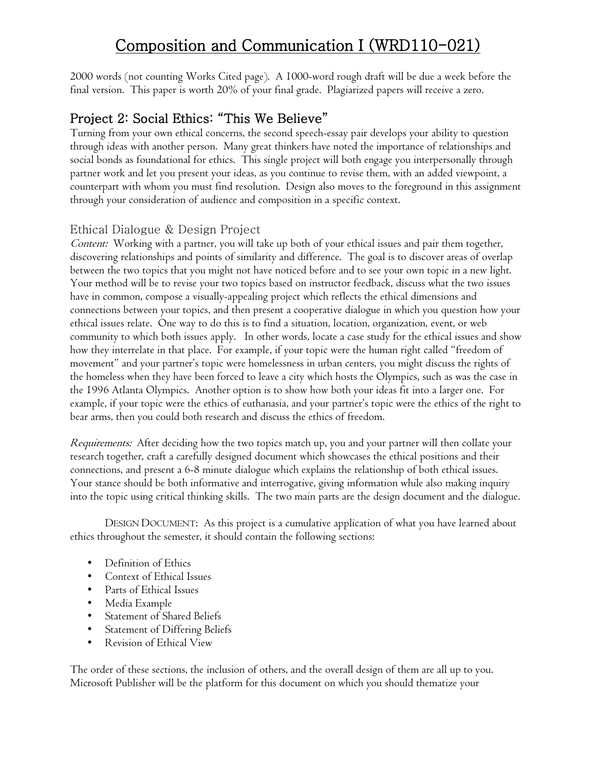2000 words (not counting Works Cited page). A 1000-word rough draft will be due a week before the final version. This paper is worth 20% of your final grade. Plagiarized papers will receive a zero.

### Project 2: Social Ethics: "This We Believe"

Turning from your own ethical concerns, the second speech-essay pair develops your ability to question through ideas with another person. Many great thinkers have noted the importance of relationships and social bonds as foundational for ethics. This single project will both engage you interpersonally through partner work and let you present your ideas, as you continue to revise them, with an added viewpoint, a counterpart with whom you must find resolution. Design also moves to the foreground in this assignment through your consideration of audience and composition in a specific context.

#### Ethical Dialogue & Design Project

Content: Working with a partner, you will take up both of your ethical issues and pair them together, discovering relationships and points of similarity and difference. The goal is to discover areas of overlap between the two topics that you might not have noticed before and to see your own topic in a new light. Your method will be to revise your two topics based on instructor feedback, discuss what the two issues have in common, compose a visually-appealing project which reflects the ethical dimensions and connections between your topics, and then present a cooperative dialogue in which you question how your ethical issues relate. One way to do this is to find a situation, location, organization, event, or web community to which both issues apply. In other words, locate a case study for the ethical issues and show how they interrelate in that place. For example, if your topic were the human right called "freedom of movement" and your partner's topic were homelessness in urban centers, you might discuss the rights of the homeless when they have been forced to leave a city which hosts the Olympics, such as was the case in the 1996 Atlanta Olympics. Another option is to show how both your ideas fit into a larger one. For example, if your topic were the ethics of euthanasia, and your partner's topic were the ethics of the right to bear arms, then you could both research and discuss the ethics of freedom.

Requirements: After deciding how the two topics match up, you and your partner will then collate your research together, craft a carefully designed document which showcases the ethical positions and their connections, and present a 6-8 minute dialogue which explains the relationship of both ethical issues. Your stance should be both informative and interrogative, giving information while also making inquiry into the topic using critical thinking skills. The two main parts are the design document and the dialogue.

DESIGN DOCUMENT: As this project is a cumulative application of what you have learned about ethics throughout the semester, it should contain the following sections:

- Definition of Ethics
- Context of Ethical Issues
- Parts of Ethical Issues
- Media Example
- Statement of Shared Beliefs
- Statement of Differing Beliefs
- Revision of Ethical View

The order of these sections, the inclusion of others, and the overall design of them are all up to you. Microsoft Publisher will be the platform for this document on which you should thematize your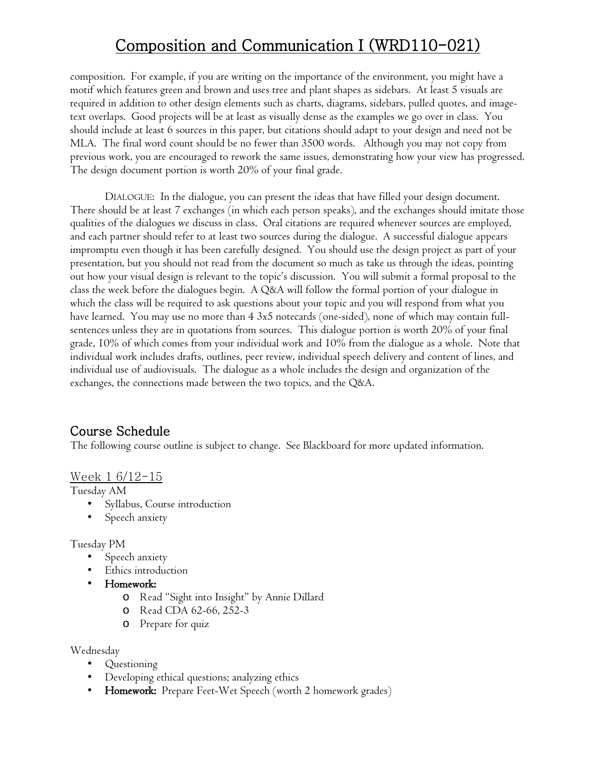composition. For example, if you are writing on the importance of the environment, you might have a motif which features green and brown and uses tree and plant shapes as sidebars. At least 5 visuals are required in addition to other design elements such as charts, diagrams, sidebars, pulled quotes, and imagetext overlaps. Good projects will be at least as visually dense as the examples we go over in class. You should include at least 6 sources in this paper, but citations should adapt to your design and need not be MLA. The final word count should be no fewer than 3500 words. Although you may not copy from previous work, you are encouraged to rework the same issues, demonstrating how your view has progressed. The design document portion is worth 20% of your final grade.

DIALOGUE: In the dialogue, you can present the ideas that have filled your design document. There should be at least 7 exchanges (in which each person speaks), and the exchanges should imitate those qualities of the dialogues we discuss in class. Oral citations are required whenever sources are employed, and each partner should refer to at least two sources during the dialogue. A successful dialogue appears impromptu even though it has been carefully designed. You should use the design project as part of your presentation, but you should not read from the document so much as take us through the ideas, pointing out how your visual design is relevant to the topic's discussion. You will submit a formal proposal to the class the week before the dialogues begin. A Q&A will follow the formal portion of your dialogue in which the class will be required to ask questions about your topic and you will respond from what you have learned. You may use no more than 4 3x5 notecards (one-sided), none of which may contain fullsentences unless they are in quotations from sources. This dialogue portion is worth 20% of your final grade, 10% of which comes from your individual work and 10% from the dialogue as a whole. Note that individual work includes drafts, outlines, peer review, individual speech delivery and content of lines, and individual use of audiovisuals. The dialogue as a whole includes the design and organization of the exchanges, the connections made between the two topics, and the Q&A.

### Course Schedule

The following course outline is subject to change. See Blackboard for more updated information.

#### Week 1 6/12-15

Tuesday AM

- Syllabus, Course introduction
- Speech anxiety

#### Tuesday PM

- Speech anxiety
- Ethics introduction
- Homework:
	- o Read "Sight into Insight" by Annie Dillard
	- o Read CDA 62-66, 252-3
	- o Prepare for quiz

Wednesday

- Questioning
- Developing ethical questions; analyzing ethics
- Homework: Prepare Feet-Wet Speech (worth 2 homework grades)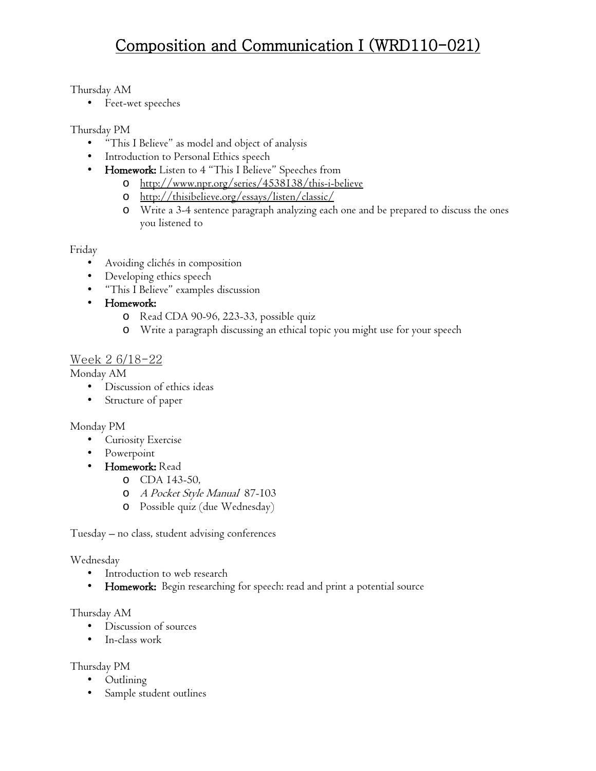#### Thursday AM

• Feet-wet speeches

#### Thursday PM

- "This I Believe" as model and object of analysis
- Introduction to Personal Ethics speech
- Homework: Listen to 4 "This I Believe" Speeches from
	- o <http://www.npr.org/series/4538138/this-i-believe>
	- o <http://thisibelieve.org/essays/listen/classic/>
	- o Write a 3-4 sentence paragraph analyzing each one and be prepared to discuss the ones you listened to

#### Friday

- Avoiding clichés in composition
- Developing ethics speech
- "This I Believe" examples discussion
- Homework:
	- o Read CDA 90-96, 223-33, possible quiz
	- o Write a paragraph discussing an ethical topic you might use for your speech

#### <u>Week 2 6/18-22</u>

#### Monday AM

- Discussion of ethics ideas
- Structure of paper

#### Monday PM

- Curiosity Exercise
- Powerpoint
- Homework: Read
	- o CDA 143-50,
	- o A Pocket Style Manual 87-103
	- o Possible quiz (due Wednesday)

Tuesday – no class, student advising conferences

#### Wednesday

- Introduction to web research
- Homework: Begin researching for speech: read and print a potential source

#### Thursday AM

- Discussion of sources
- In-class work

#### Thursday PM

- Outlining
- Sample student outlines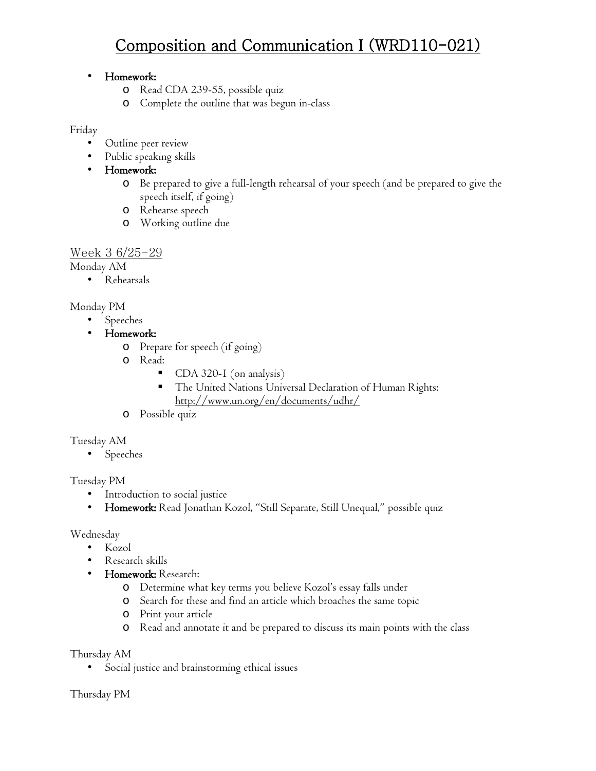#### • Homework:

- o Read CDA 239-55, possible quiz
- o Complete the outline that was begun in-class

#### Friday

- Outline peer review
- Public speaking skills
- Homework:
	- o Be prepared to give a full-length rehearsal of your speech (and be prepared to give the speech itself, if going)
	- o Rehearse speech
	- o Working outline due

#### Week 3 6/25-29

Monday AM

• Rehearsals

#### Monday PM

- Speeches
- Homework:
	- o Prepare for speech (if going)
	- o Read:
		- CDA 320-1 (on analysis)
		- The United Nations Universal Declaration of Human Rights: <http://www.un.org/en/documents/udhr/>
	- o Possible quiz

#### Tuesday AM

• Speeches

### Tuesday PM

- Introduction to social justice
- Homework: Read Jonathan Kozol, "Still Separate, Still Unequal," possible quiz

#### Wednesday

- Kozol
- Research skills
- Homework: Research:
	- o Determine what key terms you believe Kozol's essay falls under
	- o Search for these and find an article which broaches the same topic
	- o Print your article
	- o Read and annotate it and be prepared to discuss its main points with the class

#### Thursday AM

• Social justice and brainstorming ethical issues

#### Thursday PM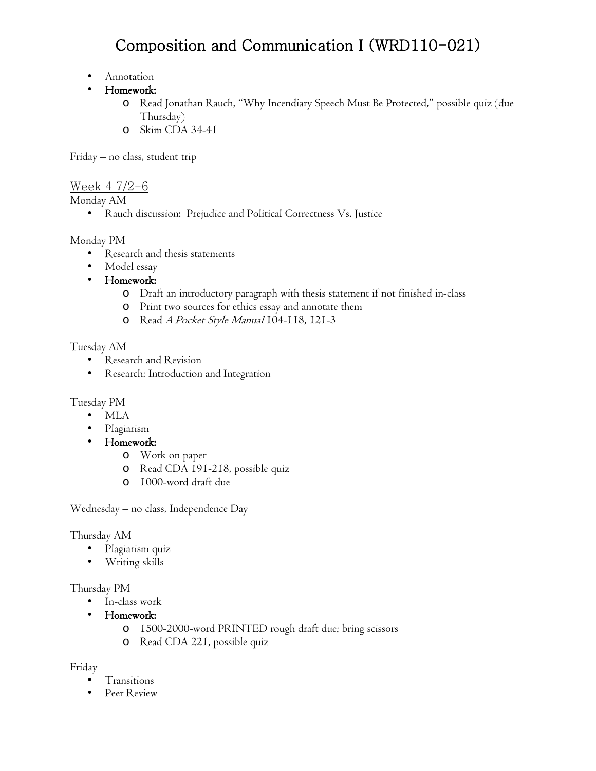- Annotation
- Homework:
	- o Read Jonathan Rauch, "Why Incendiary Speech Must Be Protected," possible quiz (due Thursday)
	- o Skim CDA 34-41

Friday – no class, student trip

Week 4 7/2-6

Monday AM

• Rauch discussion: Prejudice and Political Correctness Vs. Justice

#### Monday PM

- Research and thesis statements
- Model essay
- Homework:
	- o Draft an introductory paragraph with thesis statement if not finished in-class
	- o Print two sources for ethics essay and annotate them
	- o Read A Pocket Style Manual 104-118, 121-3

#### Tuesday AM

- Research and Revision
- Research: Introduction and Integration

#### Tuesday PM

- MLA
- Plagiarism
- Homework:
	- o Work on paper
	- o Read CDA 191-218, possible quiz
	- o 1000-word draft due

Wednesday – no class, Independence Day

#### Thursday AM

- Plagiarism quiz
- Writing skills

#### Thursday PM

- In-class work
- Homework:
	- o 1500-2000-word PRINTED rough draft due; bring scissors
	- o Read CDA 221, possible quiz

#### Friday

- Transitions
- Peer Review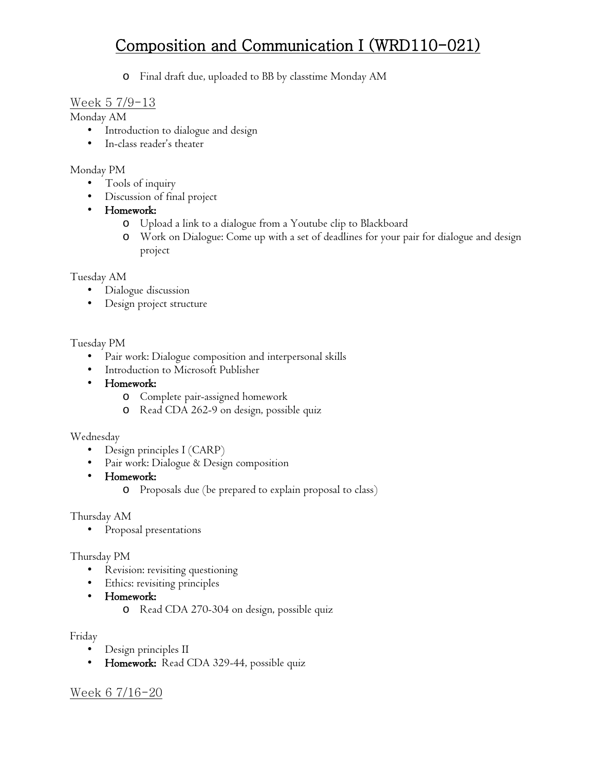o Final draft due, uploaded to BB by classtime Monday AM

#### Week 5 7/9-13

Monday AM

- Introduction to dialogue and design
- In-class reader's theater

#### Monday PM

- Tools of inquiry
- Discussion of final project
- Homework:
	- o Upload a link to a dialogue from a Youtube clip to Blackboard
	- o Work on Dialogue: Come up with a set of deadlines for your pair for dialogue and design project

#### Tuesday AM

- Dialogue discussion
- Design project structure

#### Tuesday PM

- Pair work: Dialogue composition and interpersonal skills
- Introduction to Microsoft Publisher
- Homework:
	- o Complete pair-assigned homework
	- o Read CDA 262-9 on design, possible quiz

#### Wednesday

- Design principles I (CARP)
- Pair work: Dialogue & Design composition
- Homework:
	- o Proposals due (be prepared to explain proposal to class)

#### Thursday AM

• Proposal presentations

#### Thursday PM

- Revision: revisiting questioning
- Ethics: revisiting principles
- Homework:
	- o Read CDA 270-304 on design, possible quiz

#### Friday

- Design principles II
- Homework: Read CDA 329-44, possible quiz

### Week 6 7/16-20